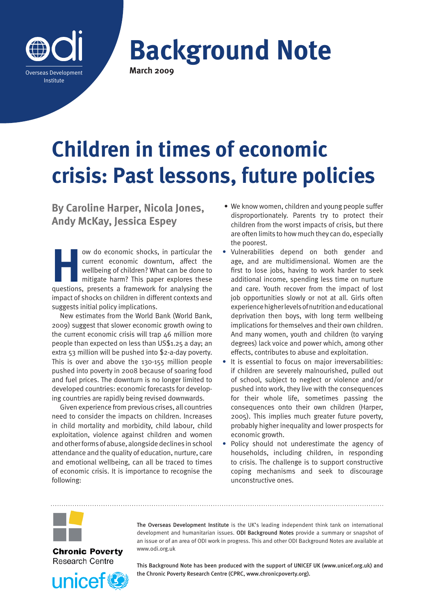

**Background Note March 2009**

# **Children in times of economic crisis: Past lessons, future policies**

**By Caroline Harper, Nicola Jones, Andy McKay, Jessica Espey**

**How do economic shocks, in particular the current economic downturn, affect the wellbeing of children? What can be done to mitigate harm? This paper explores these questions, presents a framework for analysing the** current economic downturn, affect the wellbeing of children? What can be done to mitigate harm? This paper explores these questions, presents a framework for analysing the impact of shocks on children in different contexts and suggests initial policy implications.

New estimates from the World Bank (World Bank, 2009) suggest that slower economic growth owing to the current economic crisis will trap 46 million more people than expected on less than US\$1.25 a day; an extra 53 million will be pushed into \$2-a-day poverty. This is over and above the 130-155 million people pushed into poverty in 2008 because of soaring food and fuel prices. The downturn is no longer limited to developed countries: economic forecasts for developing countries are rapidly being revised downwards.

Given experience from previous crises, all countries need to consider the impacts on children. Increases in child mortality and morbidity, child labour, child exploitation, violence against children and women and other forms of abuse, alongside declines in school attendance and the quality of education, nurture, care and emotional wellbeing, can all be traced to times of economic crisis. It is importance to recognise the following:

- We know women, children and young people suffer disproportionately. Parents try to protect their children from the worst impacts of crisis, but there are often limits to how much they can do, especially the poorest.
- **•** Vulnerabilities depend on both gender and age, and are multidimensional. Women are the first to lose jobs, having to work harder to seek additional income, spending less time on nurture and care. Youth recover from the impact of lost job opportunities slowly or not at all. Girls often experience higher levels of nutrition and educational deprivation then boys, with long term wellbeing implications for themselves and their own children. And many women, youth and children (to varying degrees) lack voice and power which, among other effects, contributes to abuse and exploitation.
- **•** It is essential to focus on major irreversabilities: if children are severely malnourished, pulled out of school, subject to neglect or violence and/or pushed into work, they live with the consequences for their whole life, sometimes passing the consequences onto their own children (Harper, 2005). This implies much greater future poverty, probably higher inequality and lower prospects for economic growth.
- **•** Policy should not underestimate the agency of households, including children, in responding to crisis. The challenge is to support constructive coping mechanisms and seek to discourage unconstructive ones.



**Chronic Poverty Research Centre** 



The Overseas Development Institute is the UK's leading independent think tank on international development and humanitarian issues. ODI Background Notes provide a summary or snapshot of an issue or of an area of ODI work in progress. This and other ODI Background Notes are available at <www.odi.org.uk>

This Background Note has been produced with the support of UNICEF UK [\(www.unicef.org.uk\)](www.unicef.org.uk) and the Chronic Poverty Research Centre (CPRC,<www.chronicpoverty.org>).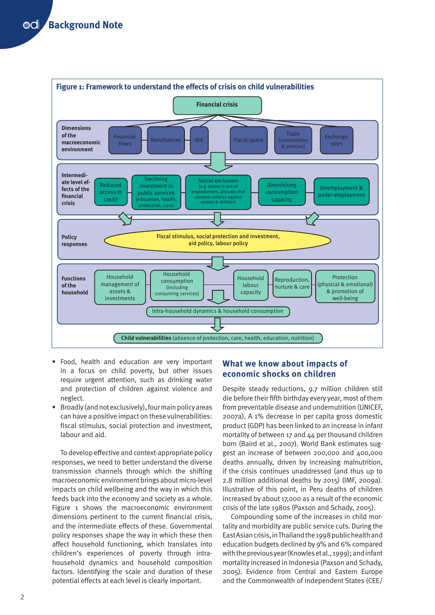

- **•** Food, health and education are very important in a focus on child poverty, but other issues require urgent attention, such as drinking water and protection of children against violence and neglect.
- **•** Broadly (and not exclusively), four main policy areas can have a positive impact on these vulnerabilities: fiscal stimulus, social protection and investment, labour and aid.

To develop effective and context-appropriate policy responses, we need to better understand the diverse transmission channels through which the shifting macroeconomic environment brings about micro-level impacts on child wellbeing and the way in which this feeds back into the economy and society as a whole. Figure 1 shows the macroeconomic environment dimensions pertinent to the current financial crisis, and the intermediate effects of these. Governmental policy responses shape the way in which these then affect household functioning, which translates into children's experiences of poverty through intrahousehold dynamics and household composition factors. Identifying the scale and duration of these potential effects at each level is clearly important.

## **What we know about impacts of economic shocks on children**

Despite steady reductions, 9.7 million children still die before their fifth birthday every year, most of them from preventable disease and undernutrition (UNICEF, 2007a). A 1% decrease in per capita gross domestic product (GDP) has been linked to an increase in infant mortality of between 17 and 44 per thousand children born (Baird et al., 2007). World Bank estimates suggest an increase of between 200,000 and 400,000 deaths annually, driven by increasing malnutrition, if the crisis continues unaddressed (and thus up to 2.8 million additional deaths by 2015) (IMF, 2009a). Illustrative of this point, in Peru deaths of children increased by about 17,000 as a result of the economic crisis of the late 1980s (Paxson and Schady, 2005).

Compounding some of the increases in child mortality and morbidity are public service cuts. During the East Asian crisis, in Thailand the 1998 public health and education budgets declined by 9% and 6% compared with the previous year (Knowles et al., 1999); and infant mortality increased in Indonesia (Paxson and Schady, 2005). Evidence from Central and Eastern Europe and the Commonwealth of Independent States (CEE/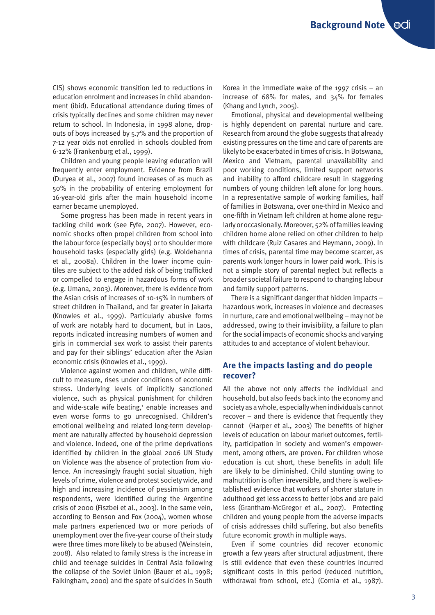CIS) shows economic transition led to reductions in education enrolment and increases in child abandonment (ibid). Educational attendance during times of crisis typically declines and some children may never return to school. In Indonesia, in 1998 alone, dropouts of boys increased by 5.7% and the proportion of 7-12 year olds not enrolled in schools doubled from 6-12% (Frankenburg et al., 1999).

Children and young people leaving education will frequently enter employment. Evidence from Brazil (Duryea et al., 2007) found increases of as much as 50% in the probability of entering employment for 16-year-old girls after the main household income earner became unemployed.

Some progress has been made in recent years in tackling child work (see Fyfe, 2007). However, economic shocks often propel children from school into the labour force (especially boys) or to shoulder more household tasks (especially girls) (e.g. Woldehanna et al., 2008a). Children in the lower income quintiles are subject to the added risk of being trafficked or compelled to engage in hazardous forms of work (e.g. Umana, 2003). Moreover, there is evidence from the Asian crisis of increases of 10-15% in numbers of street children in Thailand, and far greater in Jakarta (Knowles et al., 1999). Particularly abusive forms of work are notably hard to document, but in Laos, reports indicated increasing numbers of women and girls in commercial sex work to assist their parents and pay for their siblings' education after the Asian economic crisis (Knowles et al., 1999).

Violence against women and children, while difficult to measure, rises under conditions of economic stress. Underlying levels of implicitly sanctioned violence, such as physical punishment for children and wide-scale wife beating,<sup>1</sup> enable increases and even worse forms to go unrecognised. Children's emotional wellbeing and related long-term development are naturally affected by household depression and violence. Indeed, one of the prime deprivations identified by children in the global 2006 UN Study on Violence was the absence of protection from violence. An increasingly fraught social situation, high levels of crime, violence and protest society wide, and high and increasing incidence of pessimism among respondents, were identified during the Argentine crisis of 2000 (Fiszbei et al., 2003). In the same vein, according to Benson and Fox (2004), women whose male partners experienced two or more periods of unemployment over the five-year course of their study were three times more likely to be abused (Weinstein, 2008). Also related to family stress is the increase in child and teenage suicides in Central Asia following the collapse of the Soviet Union (Bauer et al., 1998; Falkingham, 2000) and the spate of suicides in South

Korea in the immediate wake of the 1997 crisis  $-$  an increase of 68% for males, and 34% for females (Khang and Lynch, 2005).

Emotional, physical and developmental wellbeing is highly dependent on parental nurture and care. Research from around the globe suggests that already existing pressures on the time and care of parents are likely to be exacerbated in times of crisis. In Botswana, Mexico and Vietnam, parental unavailability and poor working conditions, limited support networks and inability to afford childcare result in staggering numbers of young children left alone for long hours. In a representative sample of working families, half of families in Botswana, over one-third in Mexico and one-fifth in Vietnam left children at home alone regularly or occasionally. Moreover, 52% of families leaving children home alone relied on other children to help with childcare (Ruiz Casares and Heymann, 2009). In times of crisis, parental time may become scarcer, as parents work longer hours in lower paid work. This is not a simple story of parental neglect but reflects a broader societal failure to respond to changing labour and family support patterns.

There is a significant danger that hidden impacts – hazardous work, increases in violence and decreases in nurture, care and emotional wellbeing – may not be addressed, owing to their invisibility, a failure to plan for the social impacts of economic shocks and varying attitudes to and acceptance of violent behaviour.

## **Are the impacts lasting and do people recover?**

All the above not only affects the individual and household, but also feeds back into the economy and society as a whole, especially when individuals cannot recover – and there is evidence that frequently they cannot (Harper et al., 2003) The benefits of higher levels of education on labour market outcomes, fertility, participation in society and women's empowerment, among others, are proven. For children whose education is cut short, these benefits in adult life are likely to be diminished. Child stunting owing to malnutrition is often irreversible, and there is well-established evidence that workers of shorter stature in adulthood get less access to better jobs and are paid less (Grantham-McGregor et al., 2007). Protecting children and young people from the adverse impacts of crisis addresses child suffering, but also benefits future economic growth in multiple ways.

Even if some countries did recover economic growth a few years after structural adjustment, there is still evidence that even these countries incurred significant costs in this period (reduced nutrition, withdrawal from school, etc.) (Cornia et al., 1987).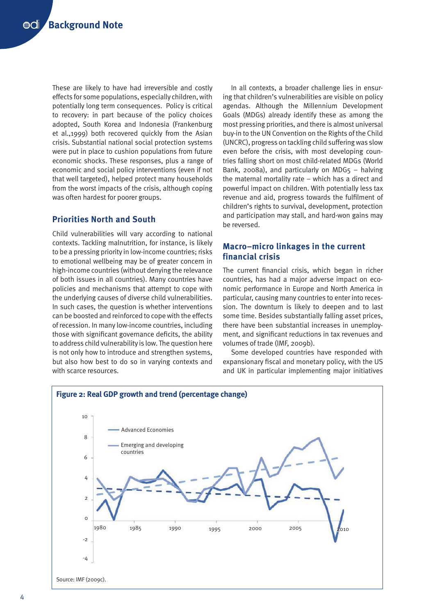These are likely to have had irreversible and costly effects for some populations, especially children, with potentially long term consequences. Policy is critical to recovery: in part because of the policy choices adopted, South Korea and Indonesia (Frankenburg et al.,1999) both recovered quickly from the Asian crisis. Substantial national social protection systems were put in place to cushion populations from future economic shocks. These responses, plus a range of economic and social policy interventions (even if not that well targeted), helped protect many households from the worst impacts of the crisis, although coping was often hardest for poorer groups.

## **Priorities North and South**

Child vulnerabilities will vary according to national contexts. Tackling malnutrition, for instance, is likely to be a pressing priority in low-income countries; risks to emotional wellbeing may be of greater concern in high-income countries (without denying the relevance of both issues in all countries). Many countries have policies and mechanisms that attempt to cope with the underlying causes of diverse child vulnerabilities. In such cases, the question is whether interventions can be boosted and reinforced to cope with the effects of recession. In many low-income countries, including those with significant governance deficits, the ability to address child vulnerability is low. The question here is not only how to introduce and strengthen systems, but also how best to do so in varying contexts and with scarce resources.

In all contexts, a broader challenge lies in ensuring that children's vulnerabilities are visible on policy agendas. Although the Millennium Development Goals (MDGs) already identify these as among the most pressing priorities, and there is almost universal buy-in to the UN Convention on the Rights of the Child (UNCRC), progress on tackling child suffering was slow even before the crisis, with most developing countries falling short on most child-related MDGs (World Bank, 2008a), and particularly on MDG $5 -$  halving the maternal mortality rate – which has a direct and powerful impact on children. With potentially less tax revenue and aid, progress towards the fulfilment of children's rights to survival, development, protection and participation may stall, and hard-won gains may be reversed.

## **Macro–micro linkages in the current financial crisis**

The current financial crisis, which began in richer countries, has had a major adverse impact on economic performance in Europe and North America in particular, causing many countries to enter into recession. The downturn is likely to deepen and to last some time. Besides substantially falling asset prices, there have been substantial increases in unemployment, and significant reductions in tax revenues and volumes of trade (IMF, 2009b).

Some developed countries have responded with expansionary fiscal and monetary policy, with the US and UK in particular implementing major initiatives

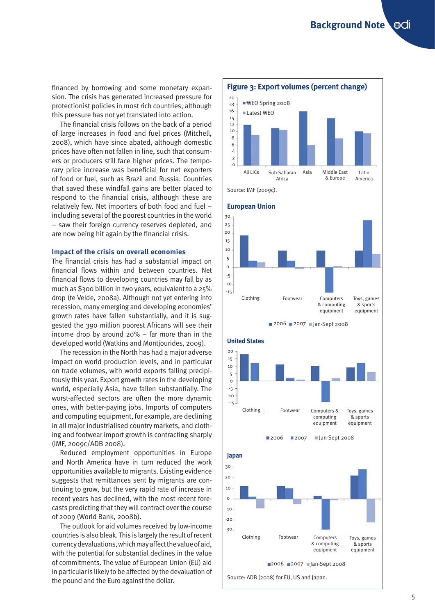financed by borrowing and some monetary expansion. The crisis has generated increased pressure for protectionist policies in most rich countries, although this pressure has not yet translated into action.

The financial crisis follows on the back of a period of large increases in food and fuel prices (Mitchell, 2008), which have since abated, although domestic prices have often not fallen in line, such that consumers or producers still face higher prices. The temporary price increase was beneficial for net exporters of food or fuel, such as Brazil and Russia. Countries that saved these windfall gains are better placed to respond to the financial crisis, although these are relatively few. Net importers of both food and fuel – including several of the poorest countries in the world – saw their foreign currency reserves depleted, and are now being hit again by the financial crisis.

## **Impact of the crisis on overall economies**

The financial crisis has had a substantial impact on financial flows within and between countries. Net financial flows to developing countries may fall by as much as \$300 billion in two years, equivalent to a 25% drop (te Velde, 2008a). Although not yet entering into recession, many emerging and developing economies' growth rates have fallen substantially, and it is suggested the 390 million poorest Africans will see their income drop by around 20% – far more than in the developed world (Watkins and Montjourides, 2009).

The recession in the North has had a major adverse impact on world production levels, and in particular on trade volumes, with world exports falling precipitously this year. Export growth rates in the developing world, especially Asia, have fallen substantially. The worst-affected sectors are often the more dynamic ones, with better-paying jobs. Imports of computers and computing equipment, for example, are declining in all major industrialised country markets, and clothing and footwear import growth is contracting sharply (IMF, 2009c/ADB 2008).

Reduced employment opportunities in Europe and North America have in turn reduced the work opportunities available to migrants. Existing evidence suggests that remittances sent by migrants are continuing to grow, but the very rapid rate of increase in recent years has declined, with the most recent forecasts predicting that they will contract over the course of 2009 (World Bank, 2008b).

The outlook for aid volumes received by low-income countries is also bleak. This is largely the result of recent currency devaluations, which may affect the value of aid, with the potential for substantial declines in the value of commitments. The value of European Union (EU) aid in particular is likely to be affected by the devaluation of the pound and the Euro against the dollar.





Source: ADB (2008) for EU, US and Japan.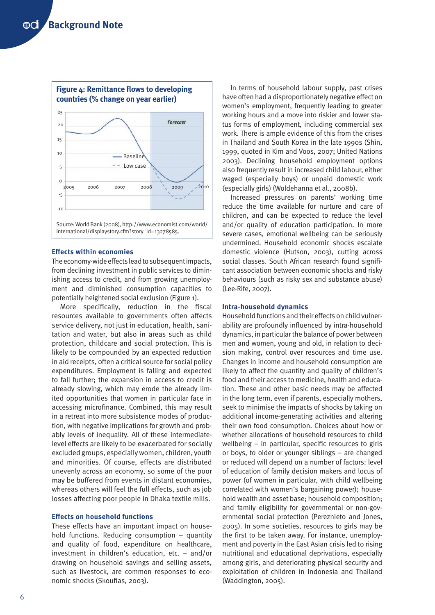

#### **Effects within economies**

The economy-wide effects lead to subsequent impacts, from declining investment in public services to diminishing access to credit, and from growing unemployment and diminished consumption capacities to potentially heightened social exclusion (Figure 1).

More specifically, reduction in the fiscal resources available to governments often affects service delivery, not just in education, health, sanitation and water, but also in areas such as child protection, childcare and social protection. This is likely to be compounded by an expected reduction in aid receipts, often a critical source for social policy expenditures. Employment is falling and expected to fall further; the expansion in access to credit is already slowing, which may erode the already limited opportunities that women in particular face in accessing microfinance. Combined, this may result in a retreat into more subsistence modes of production, with negative implications for growth and probably levels of inequality. All of these intermediatelevel effects are likely to be exacerbated for socially excluded groups, especially women, children, youth and minorities. Of course, effects are distributed unevenly across an economy, so some of the poor may be buffered from events in distant economies, whereas others will feel the full effects, such as job losses affecting poor people in Dhaka textile mills.

## **Effects on household functions**

These effects have an important impact on household functions. Reducing consumption – quantity and quality of food, expenditure on healthcare, investment in children's education, etc. – and/or drawing on household savings and selling assets, such as livestock, are common responses to economic shocks (Skoufias, 2003).

In terms of household labour supply, past crises have often had a disproportionately negative effect on women's employment, frequently leading to greater working hours and a move into riskier and lower status forms of employment, including commercial sex work. There is ample evidence of this from the crises in Thailand and South Korea in the late 1990s (Shin, 1999, quoted in Kim and Voos, 2007; United Nations 2003). Declining household employment options also frequently result in increased child labour, either waged (especially boys) or unpaid domestic work (especially girls) (Woldehanna et al., 2008b).

Increased pressures on parents' working time reduce the time available for nurture and care of children, and can be expected to reduce the level and/or quality of education participation. In more severe cases, emotional wellbeing can be seriously undermined. Household economic shocks escalate domestic violence (Hutson, 2003), cutting across social classes. South African research found significant association between economic shocks and risky behaviours (such as risky sex and substance abuse) (Lee-Rife, 2007).

#### **Intra-household dynamics**

Household functions and their effects on child vulnerability are profoundly influenced by intra-household dynamics, in particular the balance of power between men and women, young and old, in relation to decision making, control over resources and time use. Changes in income and household consumption are likely to affect the quantity and quality of children's food and their access to medicine, health and education. These and other basic needs may be affected in the long term, even if parents, especially mothers, seek to minimise the impacts of shocks by taking on additional income-generating activities and altering their own food consumption. Choices about how or whether allocations of household resources to child wellbeing – in particular, specific resources to girls or boys, to older or younger siblings – are changed or reduced will depend on a number of factors: level of education of family decision makers and locus of power (of women in particular, with child wellbeing correlated with women's bargaining power); household wealth and asset base; household composition; and family eligibility for governmental or non-governmental social protection (Pereznieto and Jones, 2005). In some societies, resources to girls may be the first to be taken away. For instance, unemployment and poverty in the East Asian crisis led to rising nutritional and educational deprivations, especially among girls, and deteriorating physical security and exploitation of children in Indonesia and Thailand (Waddington, 2005).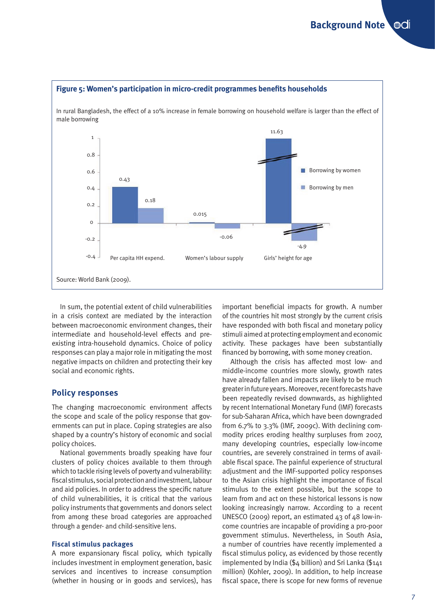

In sum, the potential extent of child vulnerabilities in a crisis context are mediated by the interaction between macroeconomic environment changes, their intermediate and household-level effects and preexisting intra-household dynamics. Choice of policy responses can play a major role in mitigating the most negative impacts on children and protecting their key social and economic rights.

## **Policy responses**

The changing macroeconomic environment affects the scope and scale of the policy response that governments can put in place. Coping strategies are also shaped by a country's history of economic and social policy choices.

National governments broadly speaking have four clusters of policy choices available to them through which to tackle rising levels of poverty and vulnerability: fiscal stimulus, social protection and investment, labour and aid policies. In order to address the specific nature of child vulnerabilities, it is critical that the various policy instruments that governments and donors select from among these broad categories are approached through a gender- and child-sensitive lens.

## **Fiscal stimulus packages**

A more expansionary fiscal policy, which typically includes investment in employment generation, basic services and incentives to increase consumption (whether in housing or in goods and services), has important beneficial impacts for growth. A number of the countries hit most strongly by the current crisis have responded with both fiscal and monetary policy stimuli aimed at protecting employment and economic activity. These packages have been substantially financed by borrowing, with some money creation.

Although the crisis has affected most low- and middle-income countries more slowly, growth rates have already fallen and impacts are likely to be much greater in future years. Moreover, recent forecasts have been repeatedly revised downwards, as highlighted by recent International Monetary Fund (IMF) forecasts for sub-Saharan Africa, which have been downgraded from 6.7% to 3.3% (IMF, 2009c). With declining commodity prices eroding healthy surpluses from 2007, many developing countries, especially low-income countries, are severely constrained in terms of available fiscal space. The painful experience of structural adjustment and the IMF-supported policy responses to the Asian crisis highlight the importance of fiscal stimulus to the extent possible, but the scope to learn from and act on these historical lessons is now looking increasingly narrow. According to a recent UNESCO (2009) report, an estimated 43 of 48 low-income countries are incapable of providing a pro-poor government stimulus. Nevertheless, in South Asia, a number of countries have recently implemented a fiscal stimulus policy, as evidenced by those recently implemented by India (\$4 billion) and Sri Lanka (\$141 million) (Kohler, 2009). In addition, to help increase fiscal space, there is scope for new forms of revenue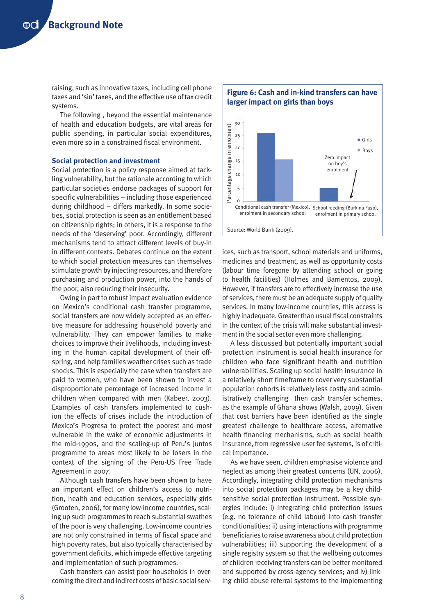raising, such as innovative taxes, including cell phone taxes and 'sin' taxes, and the effective use of tax credit systems.

The following , beyond the essential maintenance of health and education budgets, are vital areas for public spending, in particular social expenditures, even more so in a constrained fiscal environment.

## **Social protection and investment**

Social protection is a policy response aimed at tackling vulnerability, but the rationale according to which particular societies endorse packages of support for specific vulnerabilities – including those experienced during childhood – differs markedly. In some societies, social protection is seen as an entitlement based on citizenship rights; in others, it is a response to the needs of the 'deserving' poor. Accordingly, different mechanisms tend to attract different levels of buy-in in different contexts. Debates continue on the extent to which social protection measures can themselves stimulate growth by injecting resources, and therefore purchasing and production power, into the hands of the poor, also reducing their insecurity.

Owing in part to robust impact evaluation evidence on Mexico's conditional cash transfer programme, social transfers are now widely accepted as an effective measure for addressing household poverty and vulnerability. They can empower families to make choices to improve their livelihoods, including investing in the human capital development of their offspring, and help families weather crises such as trade shocks. This is especially the case when transfers are paid to women, who have been shown to invest a disproportionate percentage of increased income in children when compared with men (Kabeer, 2003). Examples of cash transfers implemented to cushion the effects of crises include the introduction of Mexico's Progresa to protect the poorest and most vulnerable in the wake of economic adjustments in the mid-1990s, and the scaling-up of Peru's Juntos programme to areas most likely to be losers in the context of the signing of the Peru-US Free Trade Agreement in 2007.

Although cash transfers have been shown to have an important effect on children's access to nutrition, health and education services, especially girls (Grooten, 2006), for many low-income countries, scaling up such programmes to reach substantial swathes of the poor is very challenging. Low-income countries are not only constrained in terms of fiscal space and high poverty rates, but also typically characterised by government deficits, which impede effective targeting and implementation of such programmes.

Cash transfers can assist poor households in overcoming the direct and indirect costs of basic social serv-



ices, such as transport, school materials and uniforms, medicines and treatment, as well as opportunity costs (labour time foregone by attending school or going to health facilities) (Holmes and Barrientos, 2009). However, if transfers are to effectively increase the use of services, there must be an adequate supply of quality services. In many low-income countries, this access is highly inadequate. Greater than usual fiscal constraints in the context of the crisis will make substantial investment in the social sector even more challenging.

A less discussed but potentially important social protection instrument is social health insurance for children who face significant health and nutrition vulnerabilities. Scaling up social health insurance in a relatively short timeframe to cover very substantial population cohorts is relatively less costly and administratively challenging then cash transfer schemes, as the example of Ghana shows (Walsh, 2009). Given that cost barriers have been identified as the single greatest challenge to healthcare access, alternative health financing mechanisms, such as social health insurance, from regressive user fee systems, is of critical importance.

As we have seen, children emphasise violence and neglect as among their greatest concerns (UN, 2006). Accordingly, integrating child protection mechanisms into social protection packages may be a key childsensitive social protection instrument. Possible synergies include: i) integrating child protection issues (e.g. no tolerance of child labour) into cash transfer conditionalities; ii) using interactions with programme beneficiaries to raise awareness about child protection vulnerabilities; iii) supporting the development of a single registry system so that the wellbeing outcomes of children receiving transfers can be better monitored and supported by cross-agency services; and iv) linking child abuse referral systems to the implementing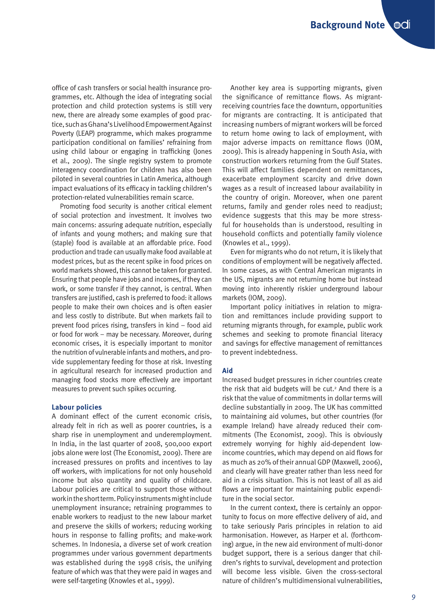office of cash transfers or social health insurance programmes, etc. Although the idea of integrating social protection and child protection systems is still very new, there are already some examples of good practice, such as Ghana's Livelihood Empowerment Against Poverty (LEAP) programme, which makes programme participation conditional on families' refraining from using child labour or engaging in trafficking (Jones et al., 2009). The single registry system to promote interagency coordination for children has also been piloted in several countries in Latin America, although impact evaluations of its efficacy in tackling children's protection-related vulnerabilities remain scarce.

Promoting food security is another critical element of social protection and investment. It involves two main concerns: assuring adequate nutrition, especially of infants and young mothers; and making sure that (staple) food is available at an affordable price. Food production and trade can usually make food available at modest prices, but as the recent spike in food prices on world markets showed, this cannot be taken for granted. Ensuring that people have jobs and incomes, if they can work, or some transfer if they cannot, is central. When transfers are justified, cash is preferred to food: it allows people to make their own choices and is often easier and less costly to distribute. But when markets fail to prevent food prices rising, transfers in kind – food aid or food for work – may be necessary. Moreover, during economic crises, it is especially important to monitor the nutrition of vulnerable infants and mothers, and provide supplementary feeding for those at risk. Investing in agricultural research for increased production and managing food stocks more effectively are important measures to prevent such spikes occurring.

## **Labour policies**

A dominant effect of the current economic crisis, already felt in rich as well as poorer countries, is a sharp rise in unemployment and underemployment. In India, in the last quarter of 2008, 500,000 export jobs alone were lost (The Economist, 2009). There are increased pressures on profits and incentives to lay off workers, with implications for not only household income but also quantity and quality of childcare. Labour policies are critical to support those without work in the short term. Policy instruments might include unemployment insurance; retraining programmes to enable workers to readjust to the new labour market and preserve the skills of workers; reducing working hours in response to falling profits; and make-work schemes. In Indonesia, a diverse set of work creation programmes under various government departments was established during the 1998 crisis, the unifying feature of which was that they were paid in wages and were self-targeting (Knowles et al., 1999).

Another key area is supporting migrants, given the significance of remittance flows. As migrantreceiving countries face the downturn, opportunities for migrants are contracting. It is anticipated that increasing numbers of migrant workers will be forced to return home owing to lack of employment, with major adverse impacts on remittance flows (IOM, 2009). This is already happening in South Asia, with construction workers returning from the Gulf States. This will affect families dependent on remittances, exacerbate employment scarcity and drive down wages as a result of increased labour availability in the country of origin. Moreover, when one parent returns, family and gender roles need to readjust; evidence suggests that this may be more stressful for households than is understood, resulting in household conflicts and potentially family violence (Knowles et al., 1999).

Even for migrants who do not return, it is likely that conditions of employment will be negatively affected. In some cases, as with Central American migrants in the US, migrants are not returning home but instead moving into inherently riskier underground labour markets (IOM, 2009).

Important policy initiatives in relation to migration and remittances include providing support to returning migrants through, for example, public work schemes and seeking to promote financial literacy and savings for effective management of remittances to prevent indebtedness.

#### **Aid**

Increased budget pressures in richer countries create the risk that aid budgets will be cut. $2$  And there is a risk that the value of commitments in dollar terms will decline substantially in 2009. The UK has committed to maintaining aid volumes, but other countries (for example Ireland) have already reduced their commitments (The Economist, 2009). This is obviously extremely worrying for highly aid-dependent lowincome countries, which may depend on aid flows for as much as 20% of their annual GDP (Maxwell, 2006), and clearly will have greater rather than less need for aid in a crisis situation. This is not least of all as aid flows are important for maintaining public expenditure in the social sector.

In the current context, there is certainly an opportunity to focus on more effective delivery of aid, and to take seriously Paris principles in relation to aid harmonisation. However, as Harper et al. (forthcoming) argue, in the new aid environment of multi-donor budget support, there is a serious danger that children's rights to survival, development and protection will become less visible. Given the cross-sectoral nature of children's multidimensional vulnerabilities,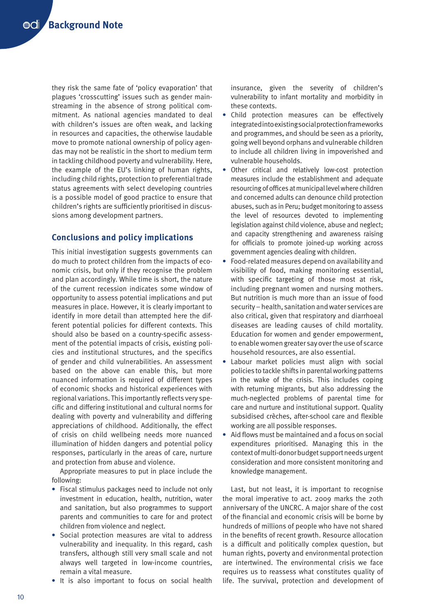they risk the same fate of 'policy evaporation' that plagues 'crosscutting' issues such as gender mainstreaming in the absence of strong political commitment. As national agencies mandated to deal with children's issues are often weak, and lacking in resources and capacities, the otherwise laudable move to promote national ownership of policy agendas may not be realistic in the short to medium term in tackling childhood poverty and vulnerability. Here, the example of the EU's linking of human rights, including child rights, protection to preferential trade status agreements with select developing countries is a possible model of good practice to ensure that children's rights are sufficiently prioritised in discussions among development partners.

## **Conclusions and policy implications**

This initial investigation suggests governments can do much to protect children from the impacts of economic crisis, but only if they recognise the problem and plan accordingly. While time is short, the nature of the current recession indicates some window of opportunity to assess potential implications and put measures in place. However, it is clearly important to identify in more detail than attempted here the different potential policies for different contexts. This should also be based on a country-specific assessment of the potential impacts of crisis, existing policies and institutional structures, and the specifics of gender and child vulnerabilities. An assessment based on the above can enable this, but more nuanced information is required of different types of economic shocks and historical experiences with regional variations. This importantly reflects very specific and differing institutional and cultural norms for dealing with poverty and vulnerability and differing appreciations of childhood. Additionally, the effect of crisis on child wellbeing needs more nuanced illumination of hidden dangers and potential policy responses, particularly in the areas of care, nurture and protection from abuse and violence.

Appropriate measures to put in place include the following:

- **•** Fiscal stimulus packages need to include not only investment in education, health, nutrition, water and sanitation, but also programmes to support parents and communities to care for and protect children from violence and neglect.
- **•** Social protection measures are vital to address vulnerability and inequality. In this regard, cash transfers, although still very small scale and not always well targeted in low-income countries, remain a vital measure.
- **•** It is also important to focus on social health

insurance, given the severity of children's vulnerability to infant mortality and morbidity in these contexts.

- **•** Child protection measures can be effectively integrated into existing social protection frameworks and programmes, and should be seen as a priority, going well beyond orphans and vulnerable children to include all children living in impoverished and vulnerable households.
- **•** Other critical and relatively low-cost protection measures include the establishment and adequate resourcing of offices at municipal level where children and concerned adults can denounce child protection abuses, such as in Peru; budget monitoring to assess the level of resources devoted to implementing legislation against child violence, abuse and neglect; and capacity strengthening and awareness raising for officials to promote joined-up working across government agencies dealing with children.
- **•** Food-related measures depend on availability and visibility of food, making monitoring essential, with specific targeting of those most at risk, including pregnant women and nursing mothers. But nutrition is much more than an issue of food security – health, sanitation and water services are also critical, given that respiratory and diarrhoeal diseases are leading causes of child mortality. Education for women and gender empowerment, to enable women greater say over the use of scarce household resources, are also essential.
- **•** Labour market policies must align with social policies to tackle shifts in parental working patterns in the wake of the crisis. This includes coping with returning migrants, but also addressing the much-neglected problems of parental time for care and nurture and institutional support. Quality subsidised crèches, after-school care and flexible working are all possible responses.
- **•** Aid flows must be maintained and a focus on social expenditures prioritised. Managing this in the context of multi-donor budget support needs urgent consideration and more consistent monitoring and knowledge management.

Last, but not least, it is important to recognise the moral imperative to act. 2009 marks the 20th anniversary of the UNCRC. A major share of the cost of the financial and economic crisis will be borne by hundreds of millions of people who have not shared in the benefits of recent growth. Resource allocation is a difficult and politically complex question, but human rights, poverty and environmental protection are intertwined. The environmental crisis we face requires us to reassess what constitutes quality of life. The survival, protection and development of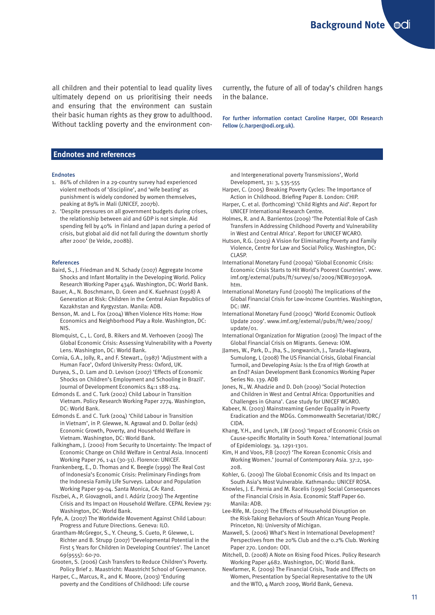all children and their potential to lead quality lives ultimately depend on us prioritising their needs and ensuring that the environment can sustain their basic human rights as they grow to adulthood. Without tackling poverty and the environment con-

currently, the future of all of today's children hangs in the balance.

For further information contact Caroline Harper, ODI Research Fellow (c.harper@odi.org.uk).

## **Endnotes and references**

#### Endnotes

- 1. 86% of children in a 29-country survey had experienced violent methods of 'discipline', and 'wife beating' as punishment is widely condoned by women themselves, peaking at 89% in Mali (UNICEF, 2007b).
- 2. 'Despite pressures on all government budgets during crises, the relationship between aid and GDP is not simple. Aid spending fell by 40% in Finland and Japan during a period of crisis, but global aid did not fall during the downturn shortly after 2000' (te Velde, 2008b).

#### References

- Baird, S., J. Friedman and N. Schady (2007) Aggregate Income Shocks and Infant Mortality in the Developing World. Policy Research Working Paper 4346. Washington, DC: World Bank.
- Bauer, A., N. Boschmann, D. Green and K. Kuehnast (1998) A Generation at Risk: Children in the Central Asian Republics of Kazakhstan and Kyrgyzstan. Manila: ADB.
- Benson, M. and L. Fox (2004) When Violence Hits Home: How Economics and Neighborhood Play a Role. Washington, DC: NIS.
- Blomquist, C., L. Cord, B. Rikers and M. Verhoeven (2009) The Global Economic Crisis: Assessing Vulnerability with a Poverty Lens. Washington, DC: World Bank.
- Cornia, G.A., Jolly, R., and F. Stewart., (1987) 'Adjustment with a Human Face', Oxford University Press: Oxford, UK.
- Duryea, S., D. Lam and D. Levison (2007) 'Effects of Economic Shocks on Children's Employment and Schooling in Brazil'. Journal of Development Economics 84:1 188-214.
- Edmonds E. and C. Turk (2002) Child Labour in Transition Vietnam. Policy Research Working Paper 2774. Washington, DC: World Bank.
- Edmonds E. and C. Turk (2004) 'Child Labour in Transition in Vietnam', in P. Glewwe, N. Agrawal and D. Dollar (eds) Economic Growth, Poverty, and Household Welfare in Vietnam. Washington, DC: World Bank.
- Falkingham, J. (2000) From Security to Uncertainty: The Impact of Economic Change on Child Welfare in Central Asia. Innocenti Working Paper 76, 1-41 (30-31). Florence: UNICEF.
- Frankenberg, E., D. Thomas and K. Beegle (1999) The Real Cost of Indonesia's Economic Crisis: Preliminary Findings from the Indonesia Family Life Surveys. Labour and Population Working Paper 99-04. Santa Monica, CA: Rand.
- Fiszbei, A., P. Giovagnoli, and I. Adúriz (2003) The Argentine Crisis and Its Impact on Household Welfare. CEPAL Review 79: Washington, DC: World Bank.
- Fyfe, A. (2007) The Worldwide Movement Against Child Labour: Progress and Future Directions. Geneva: ILO.
- Grantham-McGregor, S., Y. Cheung, S. Cueto, P. Glewwe, L. Richter and B. Strupp (2007) 'Developmental Potential in the First 5 Years for Children in Developing Countries'. The Lancet 69(9555): 60-70.
- Grooten, S. (2006) Cash Transfers to Reduce Children's Poverty. Policy Brief 2. Maastricht: Maastricht School of Governance.
- Harper, C., Marcus, R., and K. Moore, (2003) 'Enduring poverty and the Conditions of Childhood: Life course

and Intergenerational poverty Transmissions', World Development, 31: 3, 535-555

- Harper, C. (2005) Breaking Poverty Cycles: The Importance of Action in Childhood. Briefing Paper 8. London: CHIP.
- Harper, C. et al. (forthcoming) 'Child Rights and Aid'. Report for UNICEF International Research Centre.
- Holmes, R. and A. Barrientos (2009) 'The Potential Role of Cash Transfers in Addressing Childhood Poverty and Vulnerability in West and Central Africa'. Report for UNICEF WCARO.
- Hutson, R.G. (2003) A Vision for Eliminating Poverty and Family Violence, Centre for Law and Social Policy. Washington, DC: CLASP.
- International Monetary Fund (2009a) 'Global Economic Crisis: Economic Crisis Starts to Hit World's Poorest Countries'. [www.](www.imf.org/external/pubs/ft/survey/so/2009/NEW030309A.htm) [imf.org/external/pubs/ft/survey/so/2009/NEW030309A.](www.imf.org/external/pubs/ft/survey/so/2009/NEW030309A.htm) [htm.](www.imf.org/external/pubs/ft/survey/so/2009/NEW030309A.htm)
- International Monetary Fund (2009b) The Implications of the Global Financial Crisis for Low-Income Countries. Washington, DC: IMF.
- International Monetary Fund (2009c) 'World Economic Outlook Update 2009'. [www.imf.org/external/pubs/ft/weo/2009/](www.imf.org/external/pubs/ft/weo/2009/update/01) [update/01](www.imf.org/external/pubs/ft/weo/2009/update/01).
- International Organization for Migration (2009) The Impact of the Global Financial Crisis on Migrants. Geneva: IOM.
- JJames, W., Park, D., Jha, S., Jongwanich, J., Tarada-Hagiwara, Sumulong, L (2008) The US Financial Crisis, Global Financial Turmoil, and Developing Asia: Is the Era of High Growth at an End? Asian Development Bank Economics Working Paper Series No. 139. ADB
- Jones, N., W. Ahadzie and D. Doh (2009) 'Social Protection and Children in West and Central Africa: Opportunities and Challenges in Ghana'. Case study for UNICEF WCARO.
- Kabeer, N. (2003) Mainstreaming Gender Equality in Poverty Eradication and the MDGs. Commonwealth Secretariat/IDRC/ CIDA.
- Khang, Y.H., and Lynch, J.W (2005) 'Impact of Economic Crisis on Cause-specific Mortality in South Korea.' International Journal of Epidemiology. 34. 1291-1301.
- Kim, H and Voos, P.B (2007) 'The Korean Economic Crisis and Working Women.' Journal of Contemporary Asia. 37:2, 190- 208.
- Kohler, G. (2009) The Global Economic Crisis and Its Impact on South Asia's Most Vulnerable. Kathmandu: UNICEF ROSA.
- Knowles, J. E. Pernia and M. Racelis (1999) Social Consequences of the Financial Crisis in Asia. Economic Staff Paper 60. Manila: ADB.
- Lee-Rife, M. (2007) The Effects of Household Disruption on the Risk-Taking Behaviors of South African Young People. Princeton, NJ: University of Michigan.
- Maxwell, S. (2006) What's Next in International Development? Perspectives from the 20% Club and the 0.2% Club. Working Paper 270. London: ODI.
- Mitchell, D. (2008) A Note on Rising Food Prices. Policy Research Working Paper 4682. Washington, DC: World Bank.
- Newfarmer, R. (2009) The Financial Crisis, Trade and Effects on Women, Presentation by Special Representative to the UN and the WTO, 4 March 2009, World Bank, Geneva.